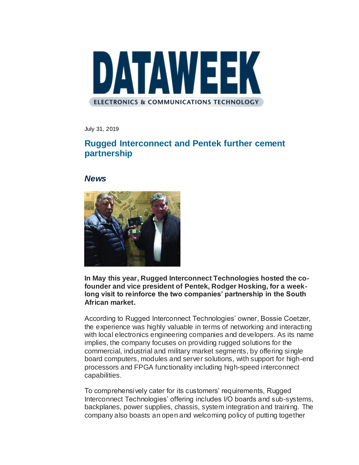

July 31, 2019

## **Rugged Interconnect and Pentek further cement partnership**

*News*



**In May this year, Rugged Interconnect Technologies hosted the cofounder and vice president of Pentek, Rodger Hosking, for a weeklong visit to reinforce the two companies' partnership in the South African market.**

According to Rugged Interconnect Technologies' owner, Bossie Coetzer, the experience was highly valuable in terms of networking and interacting with local electronics engineering companies and developers. As its name implies, the company focuses on providing rugged solutions for the commercial, industrial and military market segments, by offering single board computers, modules and server solutions, with support for high-end processors and FPGA functionality including high-speed interconnect capabilities.

To comprehensively cater for its customers' requirements, Rugged Interconnect Technologies' offering includes I/O boards and sub-systems, backplanes, power supplies, chassis, system integration and training. The company also boasts an open and welcoming policy of putting together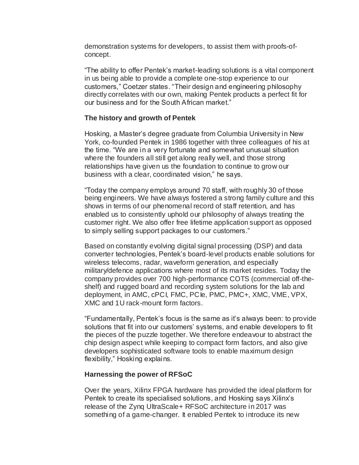demonstration systems for developers, to assist them with proofs-ofconcept.

"The ability to offer Pentek's market-leading solutions is a vital component in us being able to provide a complete one-stop experience to our customers," Coetzer states. "Their design and engineering philosophy directly correlates with our own, making Pentek products a perfect fit for our business and for the South African market."

## **The history and growth of Pentek**

Hosking, a Master's degree graduate from Columbia University in New York, co-founded Pentek in 1986 together with three colleagues of his at the time. "We are in a very fortunate and somewhat unusual situation where the founders all still get along really well, and those strong relationships have given us the foundation to continue to grow our business with a clear, coordinated vision," he says.

"Today the company employs around 70 staff, with roughly 30 of those being engineers. We have always fostered a strong family culture and this shows in terms of our phenomenal record of staff retention, and has enabled us to consistently uphold our philosophy of always treating the customer right. We also offer free lifetime application support as opposed to simply selling support packages to our customers."

Based on constantly evolving digital signal processing (DSP) and data converter technologies, Pentek's board-level products enable solutions for wireless telecoms, radar, waveform generation, and especially military/defence applications where most of its market resides. Today the company provides over 700 high-performance COTS (commercial off-theshelf) and rugged board and recording system solutions for the lab and deployment, in AMC, cPCI, FMC, PCIe, PMC, PMC+, XMC, VME, VPX, XMC and 1U rack-mount form factors.

"Fundamentally, Pentek's focus is the same as it's always been: to provide solutions that fit into our customers' systems, and enable developers to fit the pieces of the puzzle together. We therefore endeavour to abstract the chip design aspect while keeping to compact form factors, and also give developers sophisticated software tools to enable maximum design flexibility," Hosking explains.

## **Harnessing the power of RFSoC**

Over the years, Xilinx FPGA hardware has provided the ideal platform for Pentek to create its specialised solutions, and Hosking says Xilinx's release of the Zynq UltraScale+ RFSoC architecture in 2017 was something of a game-changer. It enabled Pentek to introduce its new